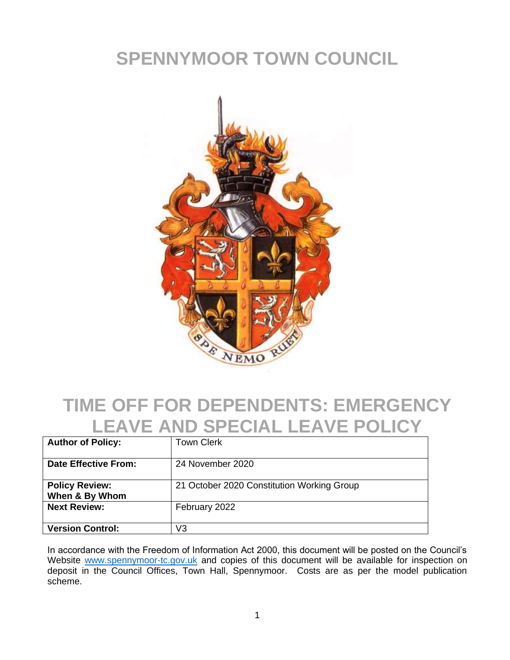# **SPENNYMOOR TOWN COUNCIL**



#### **TIME OFF FOR DEPENDENTS: EMERGENCY LEAVE AND SPECIAL LEAVE POLICY**

| <b>Author of Policy:</b>                | <b>Town Clerk</b>                          |
|-----------------------------------------|--------------------------------------------|
| <b>Date Effective From:</b>             | 24 November 2020                           |
| <b>Policy Review:</b><br>When & By Whom | 21 October 2020 Constitution Working Group |
| <b>Next Review:</b>                     | February 2022                              |
| <b>Version Control:</b>                 | V3                                         |

In accordance with the Freedom of Information Act 2000, this document will be posted on the Council's Website [www.spennymoor-tc.gov.uk](http://www.spennymoor-tc.gov.uk/) and copies of this document will be available for inspection on deposit in the Council Offices, Town Hall, Spennymoor. Costs are as per the model publication scheme.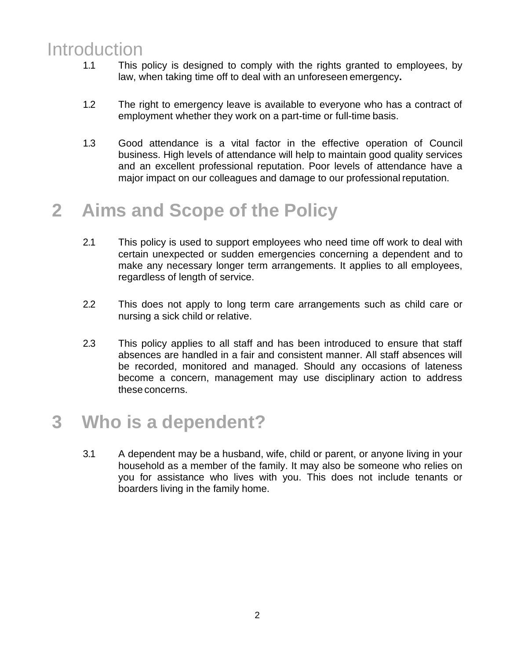#### Introduction

- 1.1 This policy is designed to comply with the rights granted to employees, by law, when taking time off to deal with an unforeseen emergency**.**
- 1.2 The right to emergency leave is available to everyone who has a contract of employment whether they work on a part-time or full-time basis.
- 1.3 Good attendance is a vital factor in the effective operation of Council business. High levels of attendance will help to maintain good quality services and an excellent professional reputation. Poor levels of attendance have a major impact on our colleagues and damage to our professional reputation.

# **2 Aims and Scope of the Policy**

- 2.1 This policy is used to support employees who need time off work to deal with certain unexpected or sudden emergencies concerning a dependent and to make any necessary longer term arrangements. It applies to all employees, regardless of length of service.
- 2.2 This does not apply to long term care arrangements such as child care or nursing a sick child or relative.
- 2.3 This policy applies to all staff and has been introduced to ensure that staff absences are handled in a fair and consistent manner. All staff absences will be recorded, monitored and managed. Should any occasions of lateness become a concern, management may use disciplinary action to address these concerns.

#### **3 Who is a dependent?**

3.1 A dependent may be a husband, wife, child or parent, or anyone living in your household as a member of the family. It may also be someone who relies on you for assistance who lives with you. This does not include tenants or boarders living in the family home.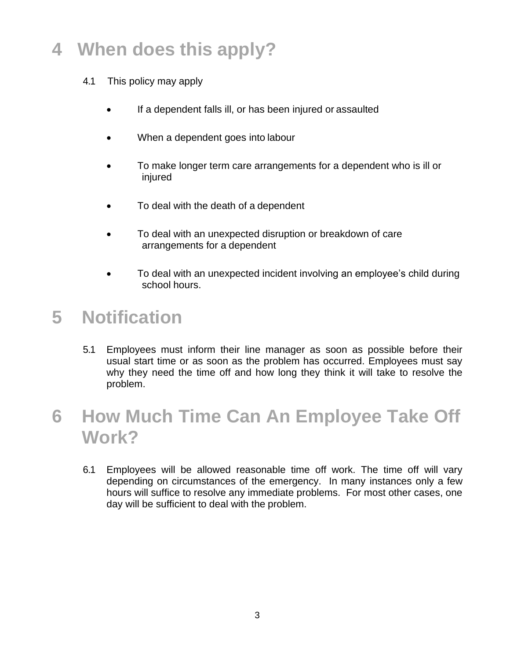# **4 When does this apply?**

- 4.1 This policy may apply
	- If a dependent falls ill, or has been injured or assaulted
	- When a dependent goes into labour
	- To make longer term care arrangements for a dependent who is ill or injured
	- To deal with the death of a dependent
	- To deal with an unexpected disruption or breakdown of care arrangements for a dependent
	- To deal with an unexpected incident involving an employee's child during school hours.

#### **5 Notification**

5.1 Employees must inform their line manager as soon as possible before their usual start time or as soon as the problem has occurred. Employees must say why they need the time off and how long they think it will take to resolve the problem.

## **6 How Much Time Can An Employee Take Off Work?**

6.1 Employees will be allowed reasonable time off work. The time off will vary depending on circumstances of the emergency. In many instances only a few hours will suffice to resolve any immediate problems. For most other cases, one day will be sufficient to deal with the problem.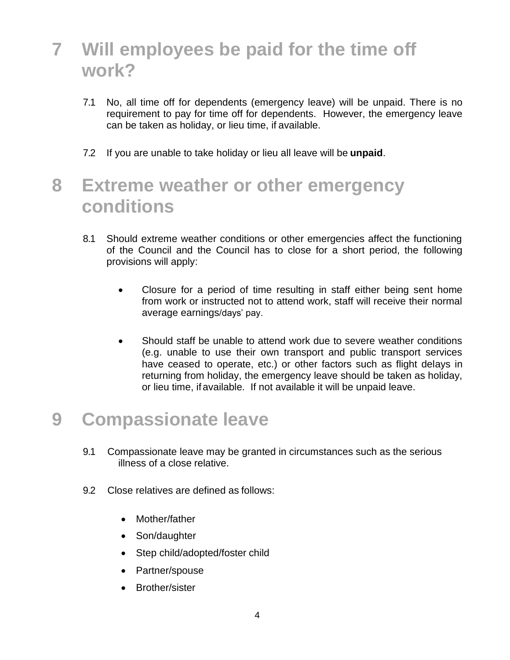# **7 Will employees be paid for the time off work?**

- 7.1 No, all time off for dependents (emergency leave) will be unpaid. There is no requirement to pay for time off for dependents. However, the emergency leave can be taken as holiday, or lieu time, if available.
- 7.2 If you are unable to take holiday or lieu all leave will be **unpaid**.

## **8 Extreme weather or other emergency conditions**

- 8.1 Should extreme weather conditions or other emergencies affect the functioning of the Council and the Council has to close for a short period, the following provisions will apply:
	- Closure for a period of time resulting in staff either being sent home from work or instructed not to attend work, staff will receive their normal average earnings/days' pay.
	- Should staff be unable to attend work due to severe weather conditions (e.g. unable to use their own transport and public transport services have ceased to operate, etc.) or other factors such as flight delays in returning from holiday, the emergency leave should be taken as holiday, or lieu time, ifavailable. If not available it will be unpaid leave.

#### **9 Compassionate leave**

- 9.1 Compassionate leave may be granted in circumstances such as the serious illness of a close relative.
- 9.2 Close relatives are defined as follows:
	- Mother/father
	- Son/daughter
	- Step child/adopted/foster child
	- Partner/spouse
	- Brother/sister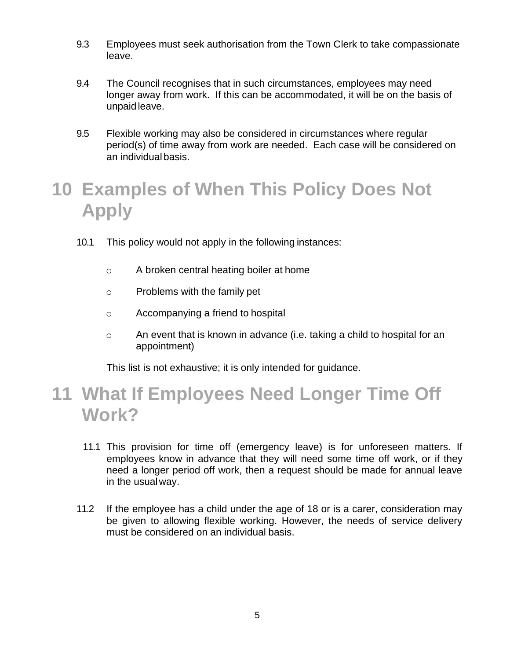- 9.3 Employees must seek authorisation from the Town Clerk to take compassionate leave.
- 9.4 The Council recognises that in such circumstances, employees may need longer away from work. If this can be accommodated, it will be on the basis of unpaidleave.
- 9.5 Flexible working may also be considered in circumstances where regular period(s) of time away from work are needed. Each case will be considered on an individual basis.

# **10 Examples of When This Policy Does Not Apply**

- 10.1 This policy would not apply in the following instances:
	- o A broken central heating boiler at home
	- o Problems with the family pet
	- o Accompanying a friend to hospital
	- o An event that is known in advance (i.e. taking a child to hospital for an appointment)

This list is not exhaustive; it is only intended for guidance.

#### **11 What If Employees Need Longer Time Off Work?**

- 11.1 This provision for time off (emergency leave) is for unforeseen matters. If employees know in advance that they will need some time off work, or if they need a longer period off work, then a request should be made for annual leave in the usualway.
- 11.2 If the employee has a child under the age of 18 or is a carer, consideration may be given to allowing flexible working. However, the needs of service delivery must be considered on an individual basis.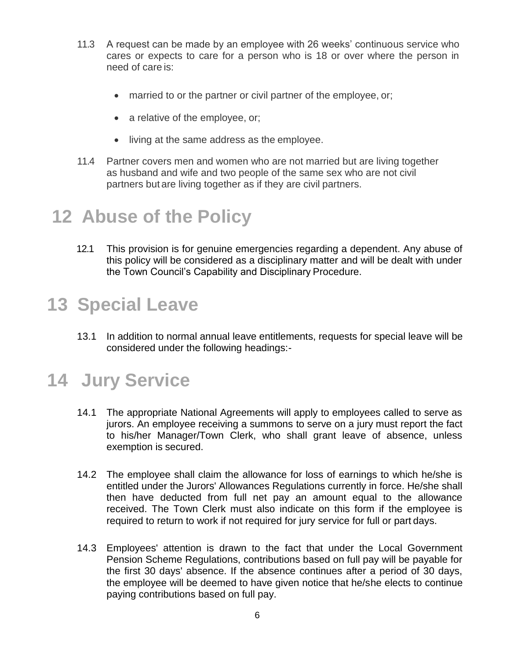- 11.3 A request can be made by an employee with 26 weeks' continuous service who cares or expects to care for a person who is 18 or over where the person in need of care is:
	- married to or the partner or civil partner of the employee, or;
	- a relative of the employee, or;
	- living at the same address as the employee.
- 11.4 Partner covers men and women who are not married but are living together as husband and wife and two people of the same sex who are not civil partners but are living together as if they are civil partners.

## **12 Abuse of the Policy**

12.1 This provision is for genuine emergencies regarding a dependent. Any abuse of this policy will be considered as a disciplinary matter and will be dealt with under the Town Council's Capability and Disciplinary Procedure.

# **13 Special Leave**

13.1 In addition to normal annual leave entitlements, requests for special leave will be considered under the following headings:-

# **14 Jury Service**

- 14.1 The appropriate National Agreements will apply to employees called to serve as jurors. An employee receiving a summons to serve on a jury must report the fact to his/her Manager/Town Clerk, who shall grant leave of absence, unless exemption is secured.
- 14.2 The employee shall claim the allowance for loss of earnings to which he/she is entitled under the Jurors' Allowances Regulations currently in force. He/she shall then have deducted from full net pay an amount equal to the allowance received. The Town Clerk must also indicate on this form if the employee is required to return to work if not required for jury service for full or part days.
- 14.3 Employees' attention is drawn to the fact that under the Local Government Pension Scheme Regulations, contributions based on full pay will be payable for the first 30 days' absence. If the absence continues after a period of 30 days, the employee will be deemed to have given notice that he/she elects to continue paying contributions based on full pay.